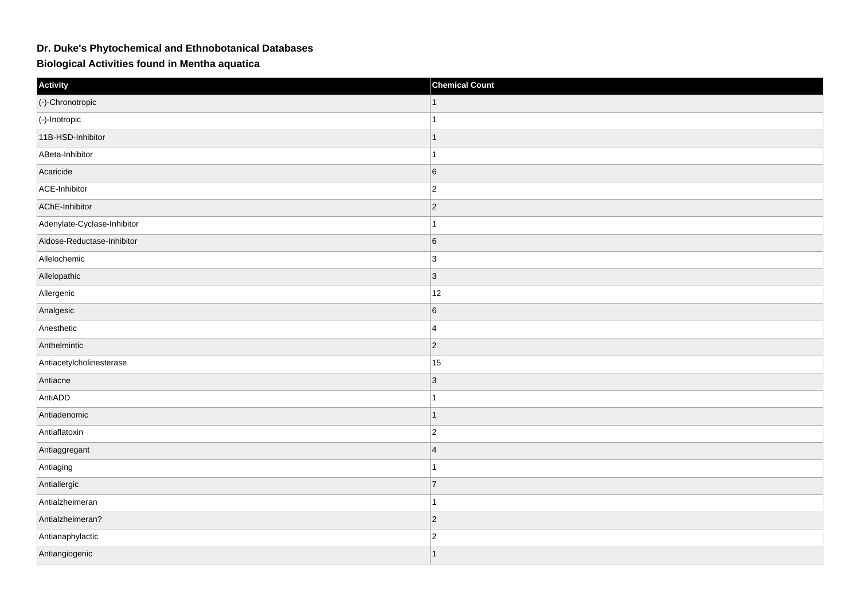## **Dr. Duke's Phytochemical and Ethnobotanical Databases**

**Biological Activities found in Mentha aquatica**

| Activity                    | <b>Chemical Count</b> |
|-----------------------------|-----------------------|
| (-)-Chronotropic            |                       |
| $\vert$ (-)-Inotropic       | 1                     |
| 11B-HSD-Inhibitor           | $\mathbf{1}$          |
| ABeta-Inhibitor             | $\overline{1}$        |
| Acaricide                   | 6                     |
| ACE-Inhibitor               | $ 2\rangle$           |
| AChE-Inhibitor              | $ 2\rangle$           |
| Adenylate-Cyclase-Inhibitor | 1                     |
| Aldose-Reductase-Inhibitor  | 6                     |
| Allelochemic                | 3                     |
| Allelopathic                | 3                     |
| Allergenic                  | 12                    |
| Analgesic                   | 6                     |
| Anesthetic                  | $\overline{4}$        |
| Anthelmintic                | $ 2\rangle$           |
| Antiacetylcholinesterase    | 15                    |
| Antiacne                    | 3                     |
| AntiADD                     | 1                     |
| Antiadenomic                | 1                     |
| Antiaflatoxin               | $ 2\rangle$           |
| Antiaggregant               | $\overline{4}$        |
| Antiaging                   | 1                     |
| Antiallergic                | 7                     |
| Antialzheimeran             | 1                     |
| Antialzheimeran?            | $ 2\rangle$           |
| Antianaphylactic            | $ 2\rangle$           |
| Antiangiogenic              | $\overline{1}$        |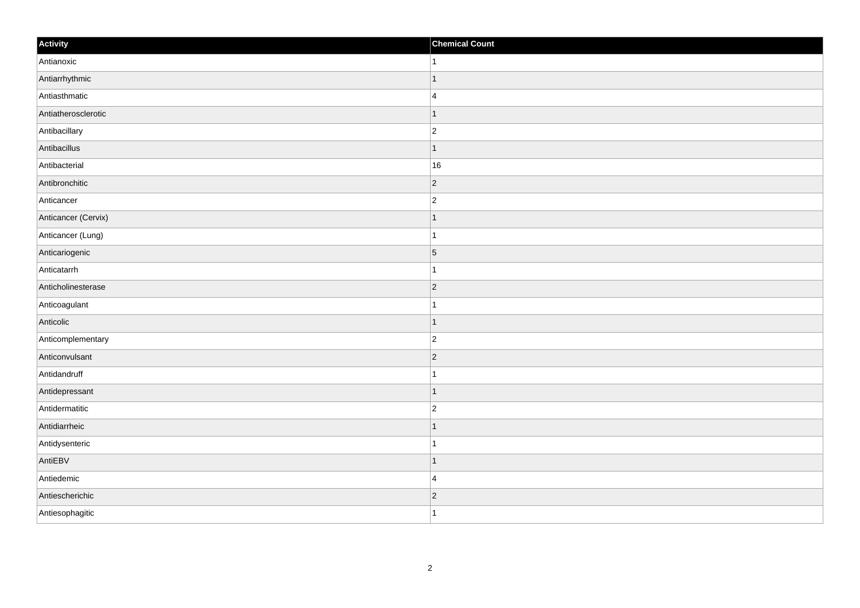| Activity            | <b>Chemical Count</b> |
|---------------------|-----------------------|
| Antianoxic          | $\vert$ 1             |
| Antiarrhythmic      | $\overline{1}$        |
| Antiasthmatic       | $\overline{4}$        |
| Antiatherosclerotic | $\overline{1}$        |
| Antibacillary       | $\overline{c}$        |
| Antibacillus        | $\mathbf 1$           |
| Antibacterial       | 16                    |
| Antibronchitic      | $\overline{2}$        |
| Anticancer          | $\overline{2}$        |
| Anticancer (Cervix) | $\vert$ 1             |
| Anticancer (Lung)   | $\overline{1}$        |
| Anticariogenic      | $\vert 5 \vert$       |
| Anticatarrh         | $\mathbf{1}$          |
| Anticholinesterase  | $ 2\rangle$           |
| Anticoagulant       |                       |
| Anticolic           | $\vert$ 1             |
| Anticomplementary   | $\overline{c}$        |
| Anticonvulsant      | $ 2\rangle$           |
| Antidandruff        | $\mathbf{1}$          |
| Antidepressant      | $\overline{1}$        |
| Antidermatitic      | $\overline{c}$        |
| Antidiarrheic       | $\vert$ 1             |
| Antidysenteric      | $\mathbf 1$           |
| AntiEBV             | $\mathbf 1$           |
| Antiedemic          | $\overline{4}$        |
| Antiescherichic     | $ 2\rangle$           |
| Antiesophagitic     | $\overline{1}$        |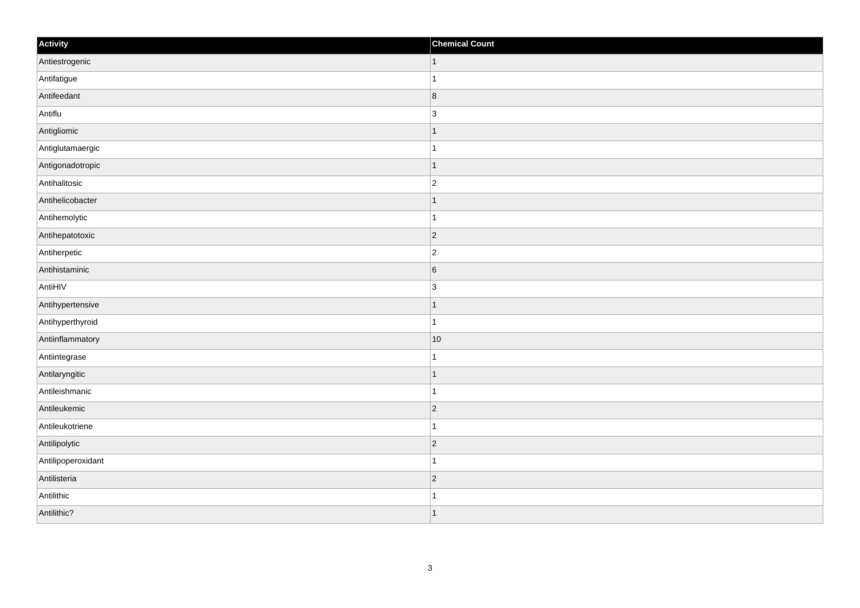| Activity           | <b>Chemical Count</b>    |
|--------------------|--------------------------|
| Antiestrogenic     | $\vert$ 1                |
| Antifatigue        |                          |
| Antifeedant        | $\overline{\mathbf{8}}$  |
| Antiflu            | 3                        |
| Antigliomic        | $\overline{\phantom{a}}$ |
| Antiglutamaergic   |                          |
| Antigonadotropic   | $\vert$ 1                |
| Antihalitosic      | $\overline{2}$           |
| Antihelicobacter   |                          |
| Antihemolytic      |                          |
| Antihepatotoxic    | $\overline{2}$           |
| Antiherpetic       | $\overline{2}$           |
| Antihistaminic     | $6\overline{6}$          |
| AntiHIV            | $\overline{3}$           |
| Antihypertensive   |                          |
| Antihyperthyroid   |                          |
| Antiinflammatory   | 10                       |
| Antiintegrase      |                          |
| Antilaryngitic     | $\overline{1}$           |
| Antileishmanic     | 1                        |
| Antileukemic       | $\vert$ 2                |
| Antileukotriene    | $\overline{1}$           |
| Antilipolytic      | $\overline{2}$           |
| Antilipoperoxidant | -1                       |
| Antilisteria       | $\vert$ 2                |
| Antilithic         |                          |
| Antilithic?        | $\overline{\phantom{a}}$ |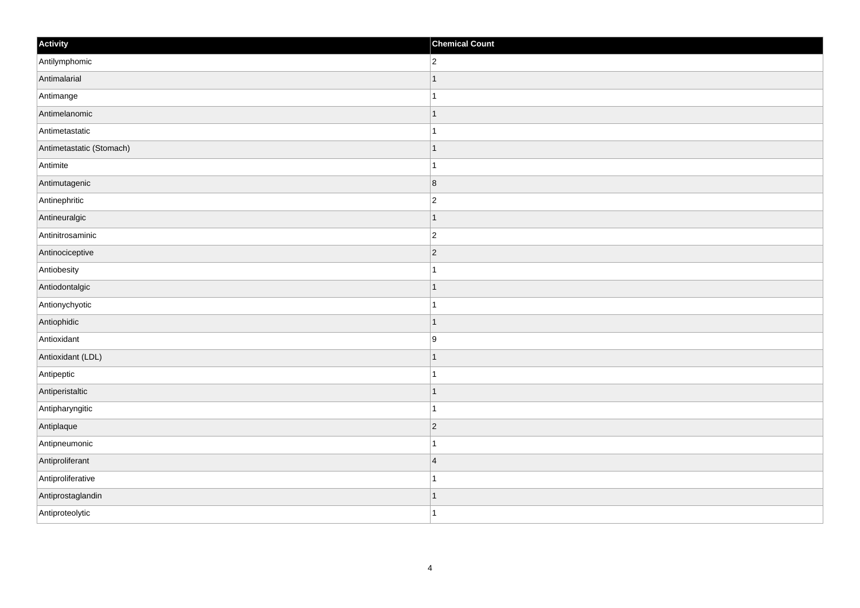| Activity                 | <b>Chemical Count</b> |
|--------------------------|-----------------------|
| Antilymphomic            | $ 2\rangle$           |
| Antimalarial             | $\mathbf{1}$          |
| Antimange                | $\mathbf{1}$          |
| Antimelanomic            | $\vert$ 1             |
| Antimetastatic           | $\vert$ 1             |
| Antimetastatic (Stomach) | $\mathbf{1}$          |
| Antimite                 | $\mathbf{1}$          |
| Antimutagenic            | $\vert 8 \vert$       |
| Antinephritic            | $\vert$ 2             |
| Antineuralgic            | $\vert$ 1             |
| Antinitrosaminic         | $ 2\rangle$           |
| Antinociceptive          | $ 2\rangle$           |
| Antiobesity              | $\mathbf{1}$          |
| Antiodontalgic           | $\mathbf{1}$          |
| Antionychyotic           | $\mathbf{1}$          |
| Antiophidic              | $\vert$ 1             |
| Antioxidant              | 9                     |
| Antioxidant (LDL)        | $\mathbf{1}$          |
| Antipeptic               | $\mathbf{1}$          |
| Antiperistaltic          | $\vert$ 1             |
| Antipharyngitic          | $\vert$ 1             |
| Antiplaque               | $ 2\rangle$           |
| Antipneumonic            | $\mathbf{1}$          |
| Antiproliferant          | $\vert 4$             |
| Antiproliferative        | $\mathbf{1}$          |
| Antiprostaglandin        | $\mathbf{1}$          |
| Antiproteolytic          | $\vert$ 1             |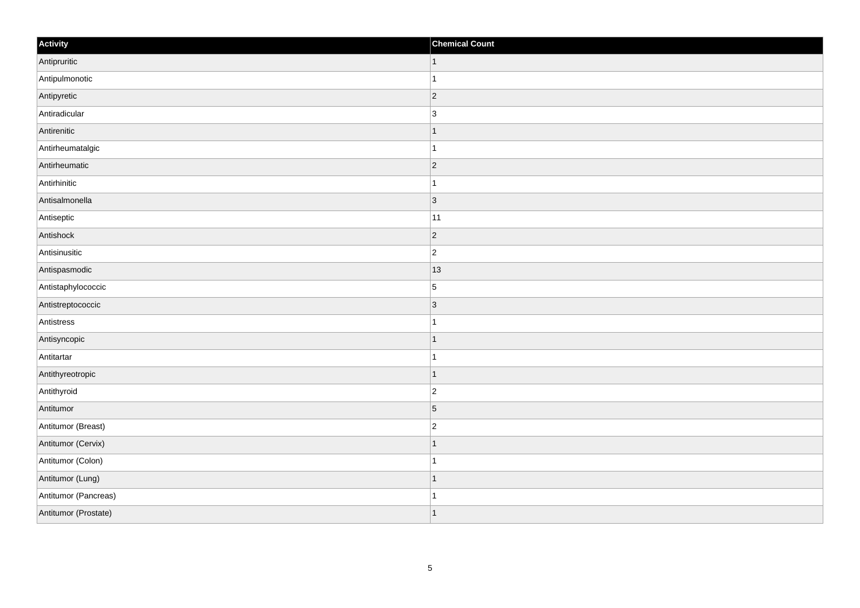| Activity             | <b>Chemical Count</b> |
|----------------------|-----------------------|
| Antipruritic         | $\vert$ 1             |
| Antipulmonotic       | $\overline{1}$        |
| Antipyretic          | 2                     |
| Antiradicular        | $\overline{3}$        |
| Antirenitic          | $\mathbf 1$           |
| Antirheumatalgic     | 1                     |
| Antirheumatic        | $ 2\rangle$           |
| Antirhinitic         | $\mathbf 1$           |
| Antisalmonella       | 3                     |
| Antiseptic           | 11                    |
| Antishock            | $\overline{2}$        |
| Antisinusitic        | $\overline{c}$        |
| Antispasmodic        | 13                    |
| Antistaphylococcic   | $\overline{5}$        |
| Antistreptococcic    | 3                     |
| Antistress           | $\mathbf{1}$          |
| Antisyncopic         | $\mathbf{1}$          |
| Antitartar           |                       |
| Antithyreotropic     | $\overline{1}$        |
| Antithyroid          | $\overline{c}$        |
| Antitumor            | $\vert 5 \vert$       |
| Antitumor (Breast)   | $\overline{c}$        |
| Antitumor (Cervix)   | -1                    |
| Antitumor (Colon)    |                       |
| Antitumor (Lung)     | $\vert$ 1             |
| Antitumor (Pancreas) | $\mathbf{1}$          |
| Antitumor (Prostate) | $\vert$ 1             |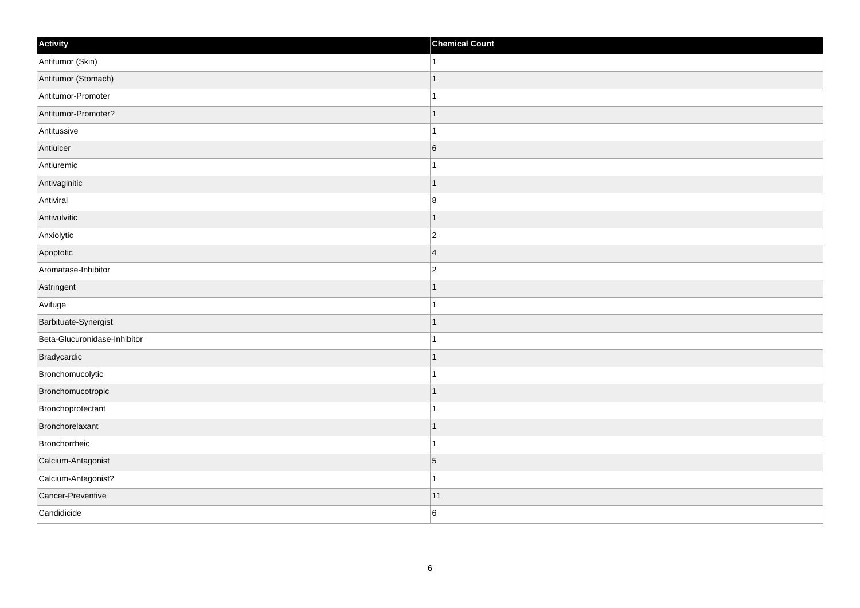| Activity                     | <b>Chemical Count</b> |
|------------------------------|-----------------------|
| Antitumor (Skin)             | $\mathbf 1$           |
| Antitumor (Stomach)          | $\overline{1}$        |
| Antitumor-Promoter           |                       |
| Antitumor-Promoter?          | $\mathbf{1}$          |
| Antitussive                  | $\overline{1}$        |
| Antiulcer                    | $6\overline{6}$       |
| Antiuremic                   | $\overline{ }$        |
| Antivaginitic                | $\mathbf{1}$          |
| Antiviral                    | 8                     |
| Antivulvitic                 | $\mathbf{1}$          |
| Anxiolytic                   | $ 2\rangle$           |
| Apoptotic                    | $\overline{4}$        |
| Aromatase-Inhibitor          | $ 2\rangle$           |
| Astringent                   | $\mathbf 1$           |
| Avifuge                      |                       |
| Barbituate-Synergist         | $\mathbf{1}$          |
| Beta-Glucuronidase-Inhibitor | 1                     |
| Bradycardic                  |                       |
| Bronchomucolytic             | $\overline{1}$        |
| Bronchomucotropic            | $\mathbf 1$           |
| Bronchoprotectant            |                       |
| Bronchorelaxant              | $\overline{1}$        |
| Bronchorrheic                | $\overline{1}$        |
| Calcium-Antagonist           | 5                     |
| Calcium-Antagonist?          | $\mathbf{1}$          |
| Cancer-Preventive            | 11                    |
| Candidicide                  | 6                     |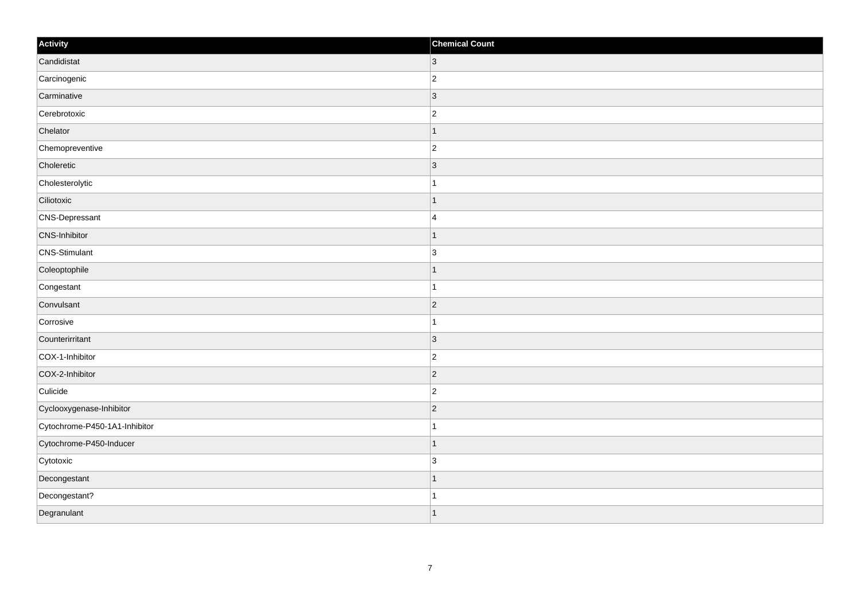| Activity                      | <b>Chemical Count</b> |
|-------------------------------|-----------------------|
| Candidistat                   | $ 3\rangle$           |
| Carcinogenic                  | $\overline{2}$        |
| Carminative                   | 3                     |
| Cerebrotoxic                  | $\overline{2}$        |
| Chelator                      |                       |
| Chemopreventive               | $\overline{c}$        |
| Choleretic                    | $\vert$ 3             |
| Cholesterolytic               | 1                     |
| Ciliotoxic                    |                       |
| CNS-Depressant                | $\overline{4}$        |
| CNS-Inhibitor                 |                       |
| CNS-Stimulant                 | 3                     |
| Coleoptophile                 | -1                    |
| Congestant                    | 1                     |
| Convulsant                    | $\overline{2}$        |
| Corrosive                     |                       |
| Counterirritant               | 3                     |
| COX-1-Inhibitor               | $\overline{c}$        |
| COX-2-Inhibitor               | $\vert$ 2             |
| Culicide                      | $\overline{2}$        |
| Cyclooxygenase-Inhibitor      | $\vert$ 2             |
| Cytochrome-P450-1A1-Inhibitor |                       |
| Cytochrome-P450-Inducer       | -1                    |
| Cytotoxic                     | 3                     |
| Decongestant                  | 1                     |
| Decongestant?                 |                       |
| Degranulant                   | $\overline{ }$        |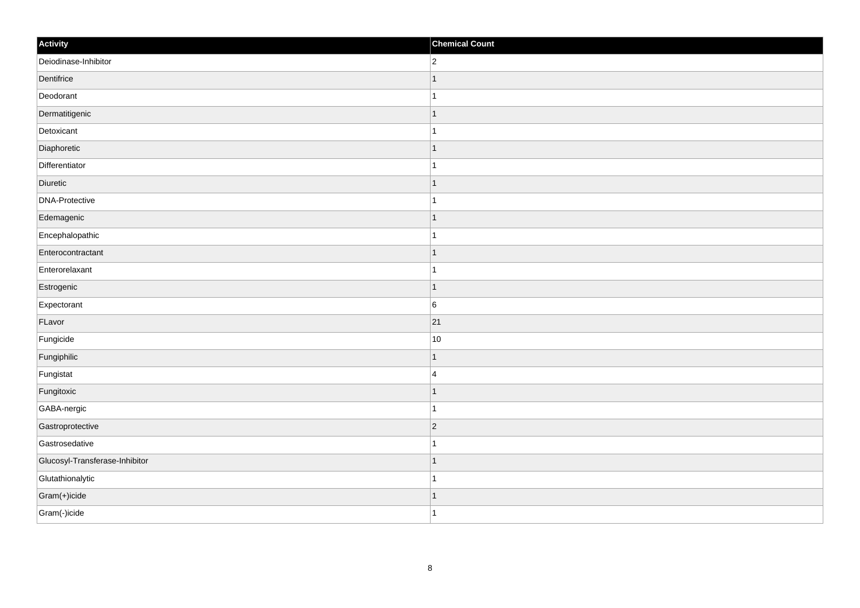| Activity                       | <b>Chemical Count</b> |
|--------------------------------|-----------------------|
| Deiodinase-Inhibitor           | $\overline{2}$        |
| Dentifrice                     |                       |
| Deodorant                      |                       |
| Dermatitigenic                 | $\mathbf 1$           |
| Detoxicant                     | $\mathbf{1}$          |
| Diaphoretic                    | -1                    |
| Differentiator                 | $\mathbf{1}$          |
| Diuretic                       | $\mathbf 1$           |
| DNA-Protective                 |                       |
| Edemagenic                     | $\vert$ 1             |
| Encephalopathic                | $\mathbf{1}$          |
| Enterocontractant              | $\mathbf 1$           |
| Enterorelaxant                 | $\mathbf{1}$          |
| Estrogenic                     | 1                     |
| Expectorant                    | 6                     |
| FLavor                         | 21                    |
| Fungicide                      | 10                    |
| Fungiphilic                    | $\mathbf 1$           |
| Fungistat                      | $\overline{4}$        |
| Fungitoxic                     | 1                     |
| GABA-nergic                    | 1                     |
| Gastroprotective               | $ 2\rangle$           |
| Gastrosedative                 | $\mathbf 1$           |
| Glucosyl-Transferase-Inhibitor | $\mathbf{1}$          |
| Glutathionalytic               | 1                     |
| Gram(+)icide                   | 1                     |
| Gram(-)icide                   | $\vert$ 1             |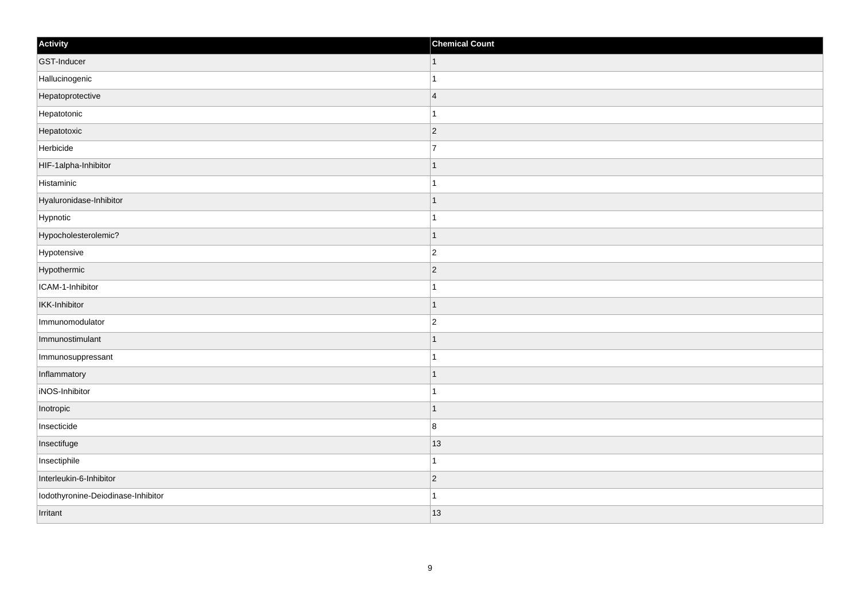| Activity                           | <b>Chemical Count</b> |
|------------------------------------|-----------------------|
| GST-Inducer                        | $\vert$ 1             |
| Hallucinogenic                     |                       |
| Hepatoprotective                   | $\overline{4}$        |
| Hepatotonic                        |                       |
| Hepatotoxic                        | $\overline{2}$        |
| Herbicide                          | $\overline{7}$        |
| HIF-1alpha-Inhibitor               | -1                    |
| Histaminic                         | 1                     |
| Hyaluronidase-Inhibitor            |                       |
| Hypnotic                           |                       |
| Hypocholesterolemic?               |                       |
| Hypotensive                        | $\overline{c}$        |
| Hypothermic                        | $\vert$ 2             |
| ICAM-1-Inhibitor                   |                       |
| <b>IKK-Inhibitor</b>               | ٠                     |
| Immunomodulator                    | $\overline{c}$        |
| Immunostimulant                    |                       |
| Immunosuppressant                  |                       |
| Inflammatory                       | 1                     |
| iNOS-Inhibitor                     |                       |
| Inotropic                          |                       |
| Insecticide                        | $\bf 8$               |
| Insectifuge                        | 13                    |
| Insectiphile                       | -1                    |
| Interleukin-6-Inhibitor            | $\vert$ 2             |
| Iodothyronine-Deiodinase-Inhibitor |                       |
| Irritant                           | 13                    |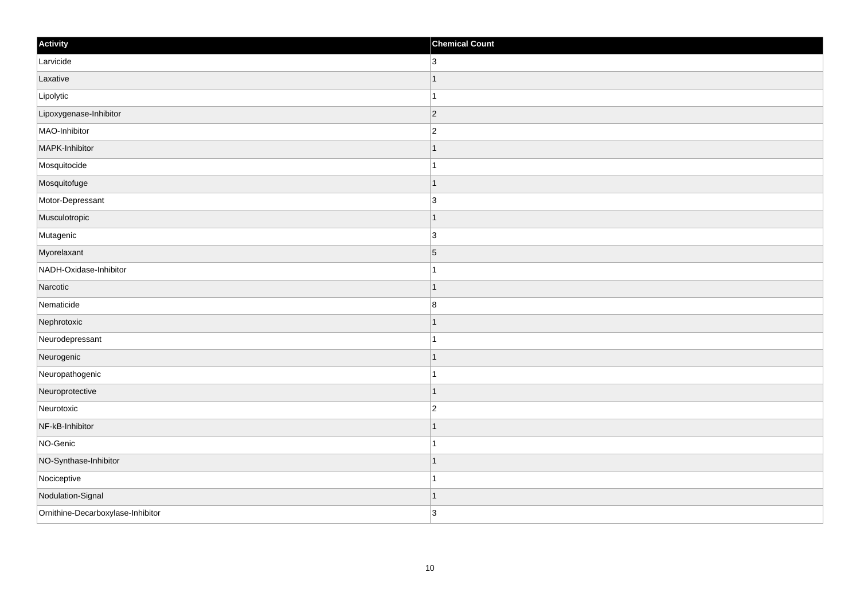| Activity                          | <b>Chemical Count</b>    |
|-----------------------------------|--------------------------|
| Larvicide                         | 3                        |
| Laxative                          |                          |
| Lipolytic                         |                          |
| Lipoxygenase-Inhibitor            | $\vert$ 2                |
| MAO-Inhibitor                     | $\overline{2}$           |
| MAPK-Inhibitor                    |                          |
| Mosquitocide                      |                          |
| Mosquitofuge                      |                          |
| Motor-Depressant                  | $\overline{3}$           |
| Musculotropic                     | 1                        |
| Mutagenic                         | $\overline{3}$           |
| Myorelaxant                       | $\overline{5}$           |
| NADH-Oxidase-Inhibitor            |                          |
| Narcotic                          |                          |
| Nematicide                        | $\boldsymbol{8}$         |
| Nephrotoxic                       | $\overline{\phantom{a}}$ |
| Neurodepressant                   | 1                        |
| Neurogenic                        |                          |
| Neuropathogenic                   |                          |
| Neuroprotective                   |                          |
| Neurotoxic                        | $\overline{c}$           |
| NF-kB-Inhibitor                   |                          |
| NO-Genic                          |                          |
| NO-Synthase-Inhibitor             |                          |
| Nociceptive                       | -1                       |
| Nodulation-Signal                 | -1                       |
| Ornithine-Decarboxylase-Inhibitor | 3                        |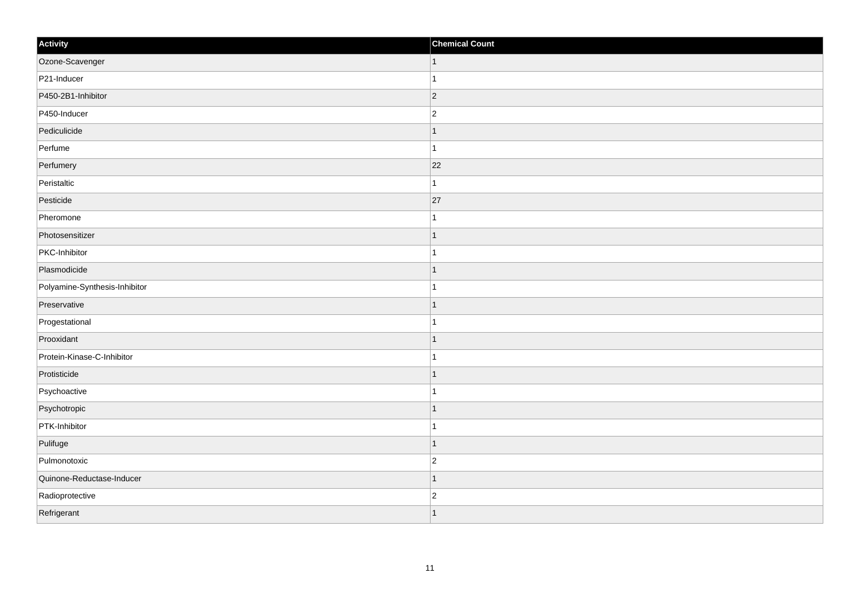| Activity                      | <b>Chemical Count</b> |
|-------------------------------|-----------------------|
| Ozone-Scavenger               | $\vert$ 1             |
| P21-Inducer                   |                       |
| P450-2B1-Inhibitor            | $ 2\rangle$           |
| P450-Inducer                  | $\overline{2}$        |
| Pediculicide                  |                       |
| Perfume                       |                       |
| Perfumery                     | 22                    |
| Peristaltic                   | 1                     |
| Pesticide                     | 27                    |
| Pheromone                     |                       |
| Photosensitizer               |                       |
| PKC-Inhibitor                 |                       |
| Plasmodicide                  | -1                    |
| Polyamine-Synthesis-Inhibitor | 1                     |
| Preservative                  |                       |
| Progestational                |                       |
| Prooxidant                    |                       |
| Protein-Kinase-C-Inhibitor    |                       |
| Protisticide                  |                       |
| Psychoactive                  | -1                    |
| Psychotropic                  |                       |
| PTK-Inhibitor                 |                       |
| Pulifuge                      | 1                     |
| Pulmonotoxic                  | $\overline{c}$        |
| Quinone-Reductase-Inducer     |                       |
| Radioprotective               | $\overline{2}$        |
| Refrigerant                   |                       |